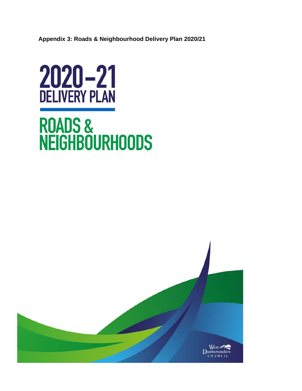**Appendix 3: Roads & Neighbourhood Delivery Plan 2020/21**



# ROADS &<br>NEIGHBOURHOODS

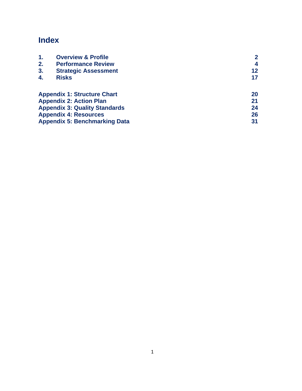# **Index**

| 1.                                   | <b>Overview &amp; Profile</b>        |    |
|--------------------------------------|--------------------------------------|----|
| 2.                                   | <b>Performance Review</b>            | 4  |
| 3.                                   | <b>Strategic Assessment</b>          | 12 |
| 4.                                   | <b>Risks</b>                         | 17 |
|                                      | <b>Appendix 1: Structure Chart</b>   | 20 |
|                                      | <b>Appendix 2: Action Plan</b>       | 21 |
| <b>Appendix 3: Quality Standards</b> |                                      | 24 |
|                                      | <b>Appendix 4: Resources</b>         | 26 |
|                                      | <b>Appendix 5: Benchmarking Data</b> | 31 |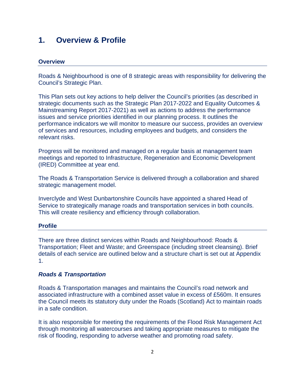# **1. Overview & Profile**

#### **Overview**

Roads & Neighbourhood is one of 8 strategic areas with responsibility for delivering the Council's Strategic Plan.

This Plan sets out key actions to help deliver the Council's priorities (as described in strategic documents such as the Strategic Plan 2017-2022 and Equality Outcomes & Mainstreaming Report 2017-2021) as well as actions to address the performance issues and service priorities identified in our planning process. It outlines the performance indicators we will monitor to measure our success, provides an overview of services and resources, including employees and budgets, and considers the relevant risks.

Progress will be monitored and managed on a regular basis at management team meetings and reported to Infrastructure, Regeneration and Economic Development (IRED) Committee at year end.

The Roads & Transportation Service is delivered through a collaboration and shared strategic management model.

Inverclyde and West Dunbartonshire Councils have appointed a shared Head of Service to strategically manage roads and transportation services in both councils. This will create resiliency and efficiency through collaboration.

#### **Profile**

There are three distinct services within Roads and Neighbourhood: Roads & Transportation; Fleet and Waste; and Greenspace (including street cleansing). Brief details of each service are outlined below and a structure chart is set out at Appendix 1.

#### *Roads & Transportation*

Roads & Transportation manages and maintains the Council's road network and associated infrastructure with a combined asset value in excess of £560m. It ensures the Council meets its statutory duty under the Roads (Scotland) Act to maintain roads in a safe condition.

It is also responsible for meeting the requirements of the Flood Risk Management Act through monitoring all watercourses and taking appropriate measures to mitigate the risk of flooding, responding to adverse weather and promoting road safety.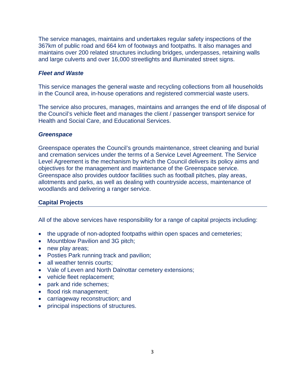The service manages, maintains and undertakes regular safety inspections of the 367km of public road and 664 km of footways and footpaths. It also manages and maintains over 200 related structures including bridges, underpasses, retaining walls and large culverts and over 16,000 streetlights and illuminated street signs.

## *Fleet and Waste*

This service manages the general waste and recycling collections from all households in the Council area, in-house operations and registered commercial waste users.

The service also procures, manages, maintains and arranges the end of life disposal of the Council's vehicle fleet and manages the client / passenger transport service for Health and Social Care, and Educational Services.

#### *Greenspace*

Greenspace operates the Council's grounds maintenance, street cleaning and burial and cremation services under the terms of a Service Level Agreement. The Service Level Agreement is the mechanism by which the Council delivers its policy aims and objectives for the management and maintenance of the Greenspace service. Greenspace also provides outdoor facilities such as football pitches, play areas, allotments and parks, as well as dealing with countryside access, maintenance of woodlands and delivering a ranger service.

## **Capital Projects**

All of the above services have responsibility for a range of capital projects including:

- the upgrade of non-adopted footpaths within open spaces and cemeteries;
- Mountblow Pavilion and 3G pitch;
- new play areas;
- Posties Park running track and pavilion;
- all weather tennis courts;
- Vale of Leven and North Dalnottar cemetery extensions;
- vehicle fleet replacement;
- park and ride schemes;
- flood risk management;
- carriageway reconstruction; and
- principal inspections of structures.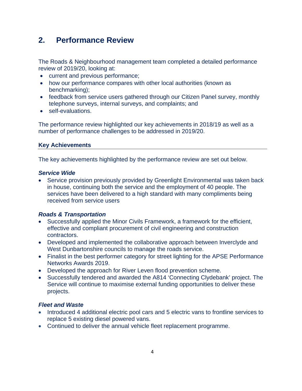# **2. Performance Review**

The Roads & Neighbourhood management team completed a detailed performance review of 2019/20, looking at:

- current and previous performance;
- how our performance compares with other local authorities (known as benchmarking);
- feedback from service users gathered through our Citizen Panel survey, monthly telephone surveys, internal surveys, and complaints; and
- self-evaluations.

The performance review highlighted our key achievements in 2018/19 as well as a number of performance challenges to be addressed in 2019/20.

## **Key Achievements**

The key achievements highlighted by the performance review are set out below.

#### *Service Wide*

• Service provision previously provided by Greenlight Environmental was taken back in house, continuing both the service and the employment of 40 people. The services have been delivered to a high standard with many compliments being received from service users

## *Roads & Transportation*

- Successfully applied the Minor Civils Framework, a framework for the efficient, effective and compliant procurement of civil engineering and construction contractors.
- Developed and implemented the collaborative approach between Inverclyde and West Dunbartonshire councils to manage the roads service.
- Finalist in the best performer category for street lighting for the APSE Performance Networks Awards 2019.
- Developed the approach for River Leven flood prevention scheme.
- Successfully tendered and awarded the A814 'Connecting Clydebank' project. The Service will continue to maximise external funding opportunities to deliver these projects.

## *Fleet and Waste*

- Introduced 4 additional electric pool cars and 5 electric vans to frontline services to replace 5 existing diesel powered vans.
- Continued to deliver the annual vehicle fleet replacement programme.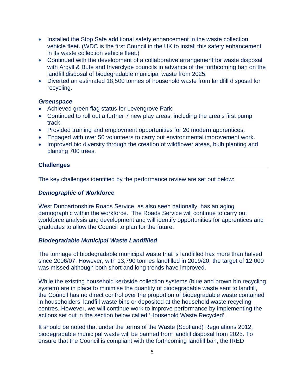- Installed the Stop Safe additional safety enhancement in the waste collection vehicle fleet. (WDC is the first Council in the UK to install this safety enhancement in its waste collection vehicle fleet.)
- Continued with the development of a collaborative arrangement for waste disposal with Argyll & Bute and Inverclyde councils in advance of the forthcoming ban on the landfill disposal of biodegradable municipal waste from 2025.
- Diverted an estimated 18,500 tonnes of household waste from landfill disposal for recycling.

#### *Greenspace*

- Achieved green flag status for Levengrove Park
- Continued to roll out a further 7 new play areas, including the area's first pump track.
- Provided training and employment opportunities for 20 modern apprentices.
- Engaged with over 50 volunteers to carry out environmental improvement work.
- Improved bio diversity through the creation of wildflower areas, bulb planting and planting 700 trees.

#### **Challenges**

The key challenges identified by the performance review are set out below:

#### *Demographic of Workforce*

West Dunbartonshire Roads Service, as also seen nationally, has an aging demographic within the workforce. The Roads Service will continue to carry out workforce analysis and development and will identify opportunities for apprentices and graduates to allow the Council to plan for the future.

#### *Biodegradable Municipal Waste Landfilled*

The tonnage of biodegradable municipal waste that is landfilled has more than halved since 2006/07. However, with 13,790 tonnes landfilled in 2019/20, the target of 12,000 was missed although both short and long trends have improved.

While the existing household kerbside collection systems (blue and brown bin recycling system) are in place to minimise the quantity of biodegradable waste sent to landfill, the Council has no direct control over the proportion of biodegradable waste contained in householders' landfill waste bins or deposited at the household waste recycling centres. However, we will continue work to improve performance by implementing the actions set out in the section below called 'Household Waste Recycled'.

It should be noted that under the terms of the Waste (Scotland) Regulations 2012, biodegradable municipal waste will be banned from landfill disposal from 2025. To ensure that the Council is compliant with the forthcoming landfill ban, the IRED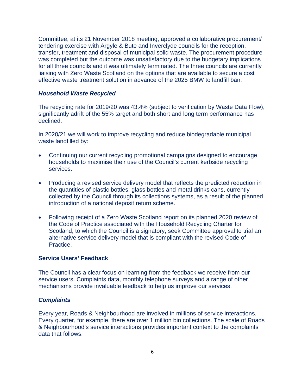Committee, at its 21 November 2018 meeting, approved a collaborative procurement/ tendering exercise with Argyle & Bute and Inverclyde councils for the reception, transfer, treatment and disposal of municipal solid waste. The procurement procedure was completed but the outcome was unsatisfactory due to the budgetary implications for all three councils and it was ultimately terminated. The three councils are currently liaising with Zero Waste Scotland on the options that are available to secure a cost effective waste treatment solution in advance of the 2025 BMW to landfill ban.

#### *Household Waste Recycled*

The recycling rate for 2019/20 was 43.4% (subject to verification by Waste Data Flow), significantly adrift of the 55% target and both short and long term performance has declined.

In 2020/21 we will work to improve recycling and reduce biodegradable municipal waste landfilled by:

- Continuing our current recycling promotional campaigns designed to encourage households to maximise their use of the Council's current kerbside recycling services.
- Producing a revised service delivery model that reflects the predicted reduction in the quantities of plastic bottles, glass bottles and metal drinks cans, currently collected by the Council through its collections systems, as a result of the planned introduction of a national deposit return scheme.
- Following receipt of a Zero Waste Scotland report on its planned 2020 review of the Code of Practice associated with the Household Recycling Charter for Scotland, to which the Council is a signatory, seek Committee approval to trial an alternative service delivery model that is compliant with the revised Code of Practice.

#### **Service Users' Feedback**

The Council has a clear focus on learning from the feedback we receive from our service users. Complaints data, monthly telephone surveys and a range of other mechanisms provide invaluable feedback to help us improve our services.

#### *Complaints*

Every year, Roads & Neighbourhood are involved in millions of service interactions. Every quarter, for example, there are over 1 million bin collections. The scale of Roads & Neighbourhood's service interactions provides important context to the complaints data that follows.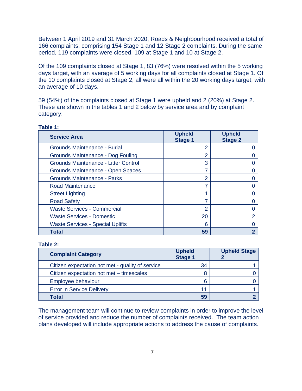Between 1 April 2019 and 31 March 2020, Roads & Neighbourhood received a total of 166 complaints, comprising 154 Stage 1 and 12 Stage 2 complaints. During the same period, 119 complaints were closed, 109 at Stage 1 and 10 at Stage 2.

Of the 109 complaints closed at Stage 1, 83 (76%) were resolved within the 5 working days target, with an average of 5 working days for all complaints closed at Stage 1. Of the 10 complaints closed at Stage 2, all were all within the 20 working days target, with an average of 10 days.

59 (54%) of the complaints closed at Stage 1 were upheld and 2 (20%) at Stage 2. These are shown in the tables 1 and 2 below by service area and by complaint category:

| <b>Service Area</b>                     | <b>Upheld</b><br><b>Stage 1</b> | <b>Upheld</b><br><b>Stage 2</b> |
|-----------------------------------------|---------------------------------|---------------------------------|
| Grounds Maintenance - Burial            | 2                               |                                 |
| Grounds Maintenance - Dog Fouling       | 2                               |                                 |
| Grounds Maintenance - Litter Control    | 3                               |                                 |
| Grounds Maintenance - Open Spaces       | 7                               |                                 |
| <b>Grounds Maintenance - Parks</b>      | 2                               |                                 |
| <b>Road Maintenance</b>                 |                                 |                                 |
| <b>Street Lighting</b>                  |                                 |                                 |
| <b>Road Safety</b>                      |                                 |                                 |
| <b>Waste Services - Commercial</b>      | 2                               |                                 |
| <b>Waste Services - Domestic</b>        | 20                              |                                 |
| <b>Waste Services - Special Uplifts</b> | 6                               |                                 |
| Total                                   | 59                              |                                 |

#### **Table 1:**

#### **Table 2:**

| <b>Complaint Category</b>                        | <b>Upheld</b><br><b>Stage 1</b> | <b>Upheld Stage</b> |
|--------------------------------------------------|---------------------------------|---------------------|
| Citizen expectation not met - quality of service | 34                              |                     |
| Citizen expectation not met - timescales         |                                 |                     |
| Employee behaviour                               | 6                               |                     |
| <b>Error in Service Delivery</b>                 | 11                              |                     |
| Total                                            | 59                              |                     |

The management team will continue to review complaints in order to improve the level of service provided and reduce the number of complaints received. The team action plans developed will include appropriate actions to address the cause of complaints.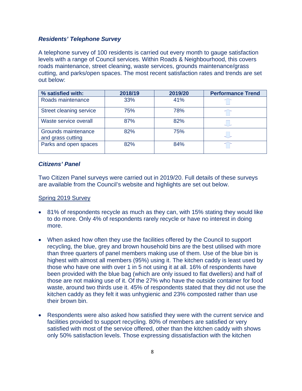## *Residents' Telephone Survey*

A telephone survey of 100 residents is carried out every month to gauge satisfaction levels with a range of Council services. Within Roads & Neighbourhood, this covers roads maintenance, street cleaning, waste services, grounds maintenance/grass cutting, and parks/open spaces. The most recent satisfaction rates and trends are set out below:

| % satisfied with:                        | 2018/19 | 2019/20 | <b>Performance Trend</b> |
|------------------------------------------|---------|---------|--------------------------|
| Roads maintenance                        | 33%     | 41%     |                          |
| Street cleaning service                  | 75%     | 78%     |                          |
| Waste service overall                    | 87%     | 82%     |                          |
| Grounds maintenance<br>and grass cutting | 82%     | 75%     |                          |
| Parks and open spaces                    | 82%     | 84%     |                          |

## *Citizens' Panel*

Two Citizen Panel surveys were carried out in 2019/20. Full details of these surveys are available from the Council's website and highlights are set out below.

## Spring 2019 Survey

- 81% of respondents recycle as much as they can, with 15% stating they would like to do more. Only 4% of respondents rarely recycle or have no interest in doing more.
- When asked how often they use the facilities offered by the Council to support recycling, the blue, grey and brown household bins are the best utilised with more than three quarters of panel members making use of them. Use of the blue bin is highest with almost all members (95%) using it. The kitchen caddy is least used by those who have one with over 1 in 5 not using it at all. 16% of respondents have been provided with the blue bag (which are only issued to flat dwellers) and half of those are not making use of it. Of the 27% who have the outside container for food waste, around two thirds use it. 45% of respondents stated that they did not use the kitchen caddy as they felt it was unhygienic and 23% composted rather than use their brown bin.
- Respondents were also asked how satisfied they were with the current service and facilities provided to support recycling. 80% of members are satisfied or very satisfied with most of the service offered, other than the kitchen caddy with shows only 50% satisfaction levels. Those expressing dissatisfaction with the kitchen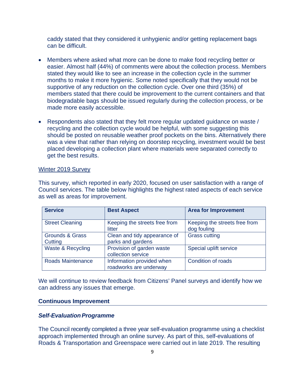caddy stated that they considered it unhygienic and/or getting replacement bags can be difficult.

- Members where asked what more can be done to make food recycling better or easier. Almost half (44%) of comments were about the collection process. Members stated they would like to see an increase in the collection cycle in the summer months to make it more hygienic. Some noted specifically that they would not be supportive of any reduction on the collection cycle. Over one third (35%) of members stated that there could be improvement to the current containers and that biodegradable bags should be issued regularly during the collection process, or be made more easily accessible.
- Respondents also stated that they felt more regular updated guidance on waste / recycling and the collection cycle would be helpful, with some suggesting this should be posted on reusable weather proof pockets on the bins. Alternatively there was a view that rather than relying on doorstep recycling, investment would be best placed developing a collection plant where materials were separated correctly to get the best results.

#### Winter 2019 Survey

This survey, which reported in early 2020, focused on user satisfaction with a range of Council services. The table below highlights the highest rated aspects of each service as well as areas for improvement.

| <b>Service</b>                        | <b>Best Aspect</b>                                  | <b>Area for Improvement</b>                  |
|---------------------------------------|-----------------------------------------------------|----------------------------------------------|
| <b>Street Cleaning</b>                | Keeping the streets free from<br>litter             | Keeping the streets free from<br>dog fouling |
| <b>Grounds &amp; Grass</b><br>Cutting | Clean and tidy appearance of<br>parks and gardens   | <b>Grass cutting</b>                         |
| Waste & Recycling                     | Provision of garden waste<br>collection service     | Special uplift service                       |
| <b>Roads Maintenance</b>              | Information provided when<br>roadworks are underway | <b>Condition of roads</b>                    |

We will continue to review feedback from Citizens' Panel surveys and identify how we can address any issues that emerge.

#### **Continuous Improvement**

#### **Self-Evaluation Programme**

The Council recently completed a three year self-evaluation programme using a checklist approach implemented through an online survey. As part of this, self-evaluations of Roads & Transportation and Greenspace were carried out in late 2019. The resulting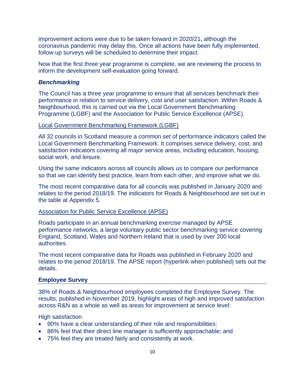improvement actions were due to be taken forward in 2020/21, although the coronavirus pandemic may delay this. Once all actions have been fully implemented, follow up surveys will be scheduled to determine their impact.

Now that the first three year programme is complete, we are reviewing the process to inform the development self-evaluation going forward.

#### <span id="page-10-0"></span>*Benchmarking*

The Council has a three year programme to ensure that all services benchmark their performance in relation to service delivery, cost and user satisfaction. Within Roads & Neighbourhood, this is carried out via the Local Government Benchmarking Programme (LGBF) and the Association for Public Service Excellence (APSE).

#### Local Government Benchmarking Framework (LGBF)

All 32 councils in Scotland measure a common set of performance indicators called the Local Government Benchmarking Framework. It comprises service delivery, cost, and satisfaction indicators covering all major service areas, including education, housing, social work, and leisure.

Using the same indicators across all councils allows us to compare our performance so that we can identify best practice, learn from each other, and improve what we do.

The most recent comparative data for all councils was published in January 2020 and relates to the period 2018/19. The indicators for Roads & Neighbourhood are set out in the table at Appendix 5.

#### Association for Public Service Excellence (APSE)

Roads participate in an annual benchmarking exercise managed by APSE performance networks, a large voluntary public sector benchmarking service covering England, Scotland, Wales and Northern Ireland that is used by over 200 local authorities.

The most recent comparative data for Roads was published in February 2020 and relates to the period 2018/19. The APSE report (hyperlink when published) sets out the details.

#### **Employee Survey**

38% of Roads & Neighbourhood employees completed the Employee Survey. The results, published in November 2019, highlight areas of high and improved satisfaction across R&N as a whole as well as areas for improvement at service level:

#### High satisfaction

- 90% have a clear understanding of their role and responsibilities;
- 86% feel that their direct line manager is sufficiently approachable; and
- 75% feel they are treated fairly and consistently at work.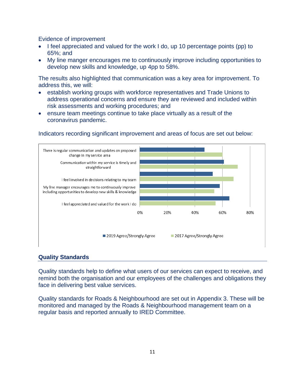Evidence of improvement

- I feel appreciated and valued for the work I do, up 10 percentage points (pp) to 65%; and
- My line manger encourages me to continuously improve including opportunities to develop new skills and knowledge, up 4pp to 58%.

The results also highlighted that communication was a key area for improvement. To address this, we will:

- establish working groups with workforce representatives and Trade Unions to address operational concerns and ensure they are reviewed and included within risk assessments and working procedures; and
- ensure team meetings continue to take place virtually as a result of the coronavirus pandemic.

## Indicators recording significant improvement and areas of focus are set out below:



#### **Quality Standards**

Quality standards help to define what users of our services can expect to receive, and remind both the organisation and our employees of the challenges and obligations they face in delivering best value services.

Quality standards for Roads & Neighbourhood are set out in Appendix 3. These will be monitored and managed by the Roads & Neighbourhood management team on a regular basis and reported annually to IRED Committee.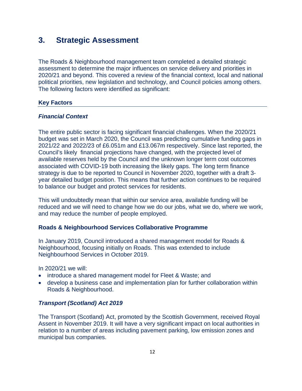# **3. Strategic Assessment**

The Roads & Neighbourhood management team completed a detailed strategic assessment to determine the major influences on service delivery and priorities in 2020/21 and beyond. This covered a review of the financial context, local and national political priorities, new legislation and technology, and Council policies among others. The following factors were identified as significant:

## **Key Factors**

## *Financial Context*

The entire public sector is facing significant financial challenges. When the 2020/21 budget was set in March 2020, the Council was predicting cumulative funding gaps in 2021/22 and 2022/23 of £6.051m and £13.067m respectively. Since last reported, the Council's likely financial projections have changed, with the projected level of available reserves held by the Council and the unknown longer term cost outcomes associated with COVID-19 both increasing the likely gaps. The long term finance strategy is due to be reported to Council in November 2020, together with a draft 3 year detailed budget position. This means that further action continues to be required to balance our budget and protect services for residents.

This will undoubtedly mean that within our service area, available funding will be reduced and we will need to change how we do our jobs, what we do, where we work, and may reduce the number of people employed.

#### **Roads & Neighbourhood Services Collaborative Programme**

In January 2019, Council introduced a shared management model for Roads & Neighbourhood, focusing initially on Roads. This was extended to include Neighbourhood Services in October 2019.

In 2020/21 we will:

- introduce a shared management model for Fleet & Waste; and
- develop a business case and implementation plan for further collaboration within Roads & Neighbourhood.

## *Transport (Scotland) Act 2019*

The Transport (Scotland) Act, promoted by the Scottish Government, received Royal Assent in November 2019. It will have a very significant impact on local authorities in relation to a number of areas including pavement parking, low emission zones and municipal bus companies.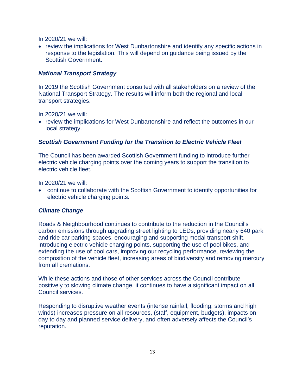In 2020/21 we will:

• review the implications for West Dunbartonshire and identify any specific actions in response to the legislation. This will depend on guidance being issued by the Scottish Government.

# *National Transport Strategy*

In 2019 the Scottish Government consulted with all stakeholders on a review of the National Transport Strategy. The results will inform both the regional and local transport strategies.

In 2020/21 we will:

• review the implications for West Dunbartonshire and reflect the outcomes in our local strategy.

# *Scottish Government Funding for the Transition to Electric Vehicle Fleet*

The Council has been awarded Scottish Government funding to introduce further electric vehicle charging points over the coming years to support the transition to electric vehicle fleet.

In 2020/21 we will:

• continue to collaborate with the Scottish Government to identify opportunities for electric vehicle charging points.

# *Climate Change*

Roads & Neighbourhood continues to contribute to the reduction in the Council's carbon emissions through upgrading street lighting to LEDs, providing nearly 640 park and ride car parking spaces, encouraging and supporting modal transport shift, introducing electric vehicle charging points, supporting the use of pool bikes, and extending the use of pool cars, improving our recycling performance, reviewing the composition of the vehicle fleet, increasing areas of biodiversity and removing mercury from all cremations.

While these actions and those of other services across the Council contribute positively to slowing climate change, it continues to have a significant impact on all Council services.

Responding to disruptive weather events (intense rainfall, flooding, storms and high winds) increases pressure on all resources, (staff, equipment, budgets), impacts on day to day and planned service delivery, and often adversely affects the Council's reputation.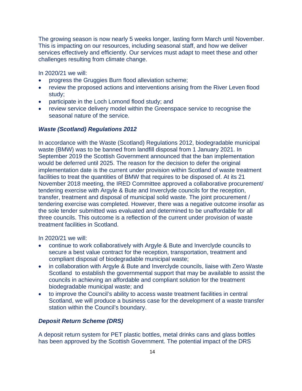The growing season is now nearly 5 weeks longer, lasting form March until November. This is impacting on our resources, including seasonal staff, and how we deliver services effectively and efficiently. Our services must adapt to meet these and other challenges resulting from climate change.

In 2020/21 we will:

- progress the Gruggies Burn flood alleviation scheme;
- review the proposed actions and interventions arising from the River Leven flood study;
- participate in the Loch Lomond flood study; and
- review service delivery model within the Greenspace service to recognise the seasonal nature of the service.

#### *Waste (Scotland) Regulations 2012*

In accordance with the Waste (Scotland) Regulations 2012, biodegradable municipal waste (BMW) was to be banned from landfill disposal from 1 January 2021. In September 2019 the Scottish Government announced that the ban implementation would be deferred until 2025. The reason for the decision to defer the original implementation date is the current under provision within Scotland of waste treatment facilities to treat the quantities of BMW that requires to be disposed of. At its 21 November 2018 meeting, the IRED Committee approved a collaborative procurement/ tendering exercise with Argyle & Bute and Inverclyde councils for the reception, transfer, treatment and disposal of municipal solid waste. The joint procurement / tendering exercise was completed. However, there was a negative outcome insofar as the sole tender submitted was evaluated and determined to be unaffordable for all three councils. This outcome is a reflection of the current under provision of waste treatment facilities in Scotland.

In 2020/21 we will:

- continue to work collaboratively with Argyle & Bute and Inverclyde councils to secure a best value contract for the reception, transportation, treatment and compliant disposal of biodegradable municipal waste;
- in collaboration with Argyle & Bute and Inverclyde councils, liaise with Zero Waste Scotland to establish the governmental support that may be available to assist the councils in achieving an affordable and compliant solution for the treatment biodegradable municipal waste; and
- to improve the Council's ability to access waste treatment facilities in central Scotland, we will produce a business case for the development of a waste transfer station within the Council's boundary.

#### *Deposit Return Scheme (DRS)*

A deposit return system for PET plastic bottles, metal drinks cans and glass bottles has been approved by the Scottish Government. The potential impact of the DRS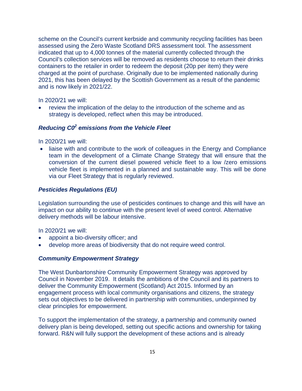scheme on the Council's current kerbside and community recycling facilities has been assessed using the Zero Waste Scotland DRS assessment tool. The assessment indicated that up to 4,000 tonnes of the material currently collected through the Council's collection services will be removed as residents choose to return their drinks containers to the retailer in order to redeem the deposit (20p per item) they were charged at the point of purchase. Originally due to be implemented nationally during 2021, this has been delayed by the Scottish Government as a result of the pandemic and is now likely in 2021/22.

In 2020/21 we will:

• review the implication of the delay to the introduction of the scheme and as strategy is developed, reflect when this may be introduced.

## *Reducing C02 emissions from the Vehicle Fleet*

In 2020/21 we will:

• liaise with and contribute to the work of colleagues in the Energy and Compliance team in the development of a Climate Change Strategy that will ensure that the conversion of the current diesel powered vehicle fleet to a low /zero emissions vehicle fleet is implemented in a planned and sustainable way. This will be done via our Fleet Strategy that is regularly reviewed.

#### *Pesticides Regulations (EU)*

Legislation surrounding the use of pesticides continues to change and this will have an impact on our ability to continue with the present level of weed control. Alternative delivery methods will be labour intensive.

In 2020/21 we will:

- appoint a bio-diversity officer; and
- develop more areas of biodiversity that do not require weed control.

#### *Community Empowerment Strategy*

The West Dunbartonshire Community Empowerment Strategy was approved by Council in November 2019. It details the ambitions of the Council and its partners to deliver the Community Empowerment (Scotland) Act 2015. Informed by an engagement process with local community organisations and citizens, the strategy sets out objectives to be delivered in partnership with communities, underpinned by clear principles for empowerment.

To support the implementation of the strategy, a partnership and community owned delivery plan is being developed, setting out specific actions and ownership for taking forward. R&N will fully support the development of these actions and is already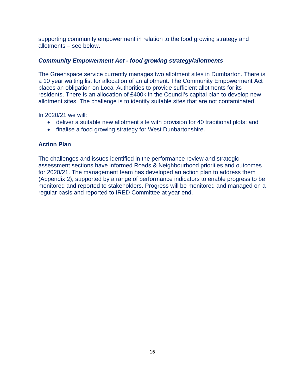supporting community empowerment in relation to the food growing strategy and allotments – see below.

## *Community Empowerment Act - food growing strategy/allotments*

The Greenspace service currently manages two allotment sites in Dumbarton. There is a 10 year waiting list for allocation of an allotment. The Community Empowerment Act places an obligation on Local Authorities to provide sufficient allotments for its residents. There is an allocation of £400k in the Council's capital plan to develop new allotment sites. The challenge is to identify suitable sites that are not contaminated.

In 2020/21 we will:

- deliver a suitable new allotment site with provision for 40 traditional plots; and
- finalise a food growing strategy for West Dunbartonshire.

## **Action Plan**

<span id="page-16-0"></span>The challenges and issues identified in the performance review and strategic assessment sections have informed Roads & Neighbourhood priorities and outcomes for 2020/21. The management team has developed an action plan to address them (Appendix 2), supported by a range of performance indicators to enable progress to be monitored and reported to stakeholders. Progress will be monitored and managed on a regular basis and reported to IRED Committee at year end.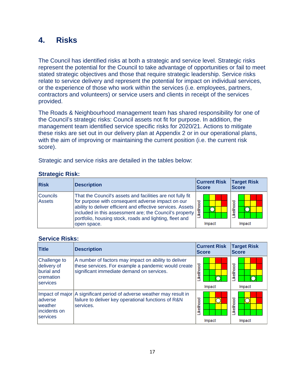# **4. Risks**

The Council has identified risks at both a strategic and service level. Strategic risks represent the potential for the Council to take advantage of opportunities or fail to meet stated strategic objectives and those that require strategic leadership. Service risks relate to service delivery and represent the potential for impact on individual services, or the experience of those who work within the services (i.e. employees, partners, contractors and volunteers) or service users and clients in receipt of the services provided.

The Roads & Neighbourhood management team has shared responsibility for one of the Council's strategic risks: Council assets not fit for purpose. In addition, the management team identified service specific risks for 2020/21. Actions to mitigate these risks are set out in our delivery plan at Appendix 2 or in our operational plans, with the aim of improving or maintaining the current position (i.e. the current risk score).

Strategic and service risks are detailed in the tables below:

# **Strategic Risk:**

| <b>Risk</b>          | <b>Description</b>                                                                                                                                                                                                                                                                                                  | <b>Current Risk</b><br><b>Score</b> | <b>Target Risk</b><br><b>Score</b> |  |  |
|----------------------|---------------------------------------------------------------------------------------------------------------------------------------------------------------------------------------------------------------------------------------------------------------------------------------------------------------------|-------------------------------------|------------------------------------|--|--|
| l Councils<br>Assets | That the Council's assets and facilities are not fully fit<br>for purpose with consequent adverse impact on our<br>ability to deliver efficient and effective services. Assets<br>included in this assessment are; the Council's property<br>portfolio, housing stock, roads and lighting, fleet and<br>open space. | <b>ikelihood</b><br>Impact          | ikelihood<br>Impact                |  |  |

## **Service Risks:**

| <b>Title</b>                                                                | <b>Description</b>                                                                                                                                       | <b>Current Risk</b><br><b>Score</b> | <b>Target Risk</b><br><b>Score</b> |
|-----------------------------------------------------------------------------|----------------------------------------------------------------------------------------------------------------------------------------------------------|-------------------------------------|------------------------------------|
| Challenge to<br>delivery of<br>burial and<br>Icremation<br><b>Iservices</b> | A number of factors may impact on ability to deliver<br>these services. For example a pandemic would create<br>significant immediate demand on services. | <b>ikelihood</b><br>Impact          | ikelihood<br>Impact                |
| adverse<br>Iweather<br>lincidents on<br><b>Services</b>                     | Impact of major A significant period of adverse weather may result in<br>failure to deliver key operational functions of R&N<br>services.                | <b>ikelihood</b><br>Impact          | <b>ikelihood</b><br>Impact         |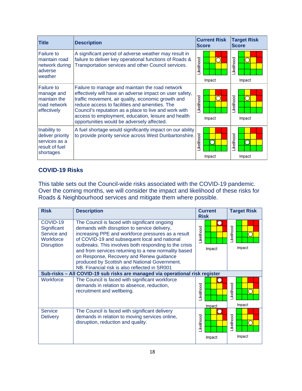| <b>Title</b>                                                                     | <b>Description</b>                                                                                                                                                                                                                                                                                                                                                               |            | <b>Current Risk</b><br><b>Score</b> | <b>Target Risk</b><br><b>Score</b> |        |  |
|----------------------------------------------------------------------------------|----------------------------------------------------------------------------------------------------------------------------------------------------------------------------------------------------------------------------------------------------------------------------------------------------------------------------------------------------------------------------------|------------|-------------------------------------|------------------------------------|--------|--|
| <b>Failure to</b><br>maintain road<br>network during<br>adverse<br>weather       | A significant period of adverse weather may result in<br>failure to deliver key operational functions of Roads &<br>Transportation services and other Council services.                                                                                                                                                                                                          | Likelihood | Impact                              | <b>ikelihood</b>                   | Impact |  |
| <b>Failure to</b><br>manage and<br>maintain the<br>road network<br>effectively   | Failure to manage and maintain the road network<br>effectively will have an adverse impact on user safety,<br>traffic movement, air quality, economic growth and<br>reduce access to facilities and amenities. The<br>Council's reputation as a place to live and work with<br>access to employment, education, leisure and health<br>opportunities would be adversely affected. | .ikelihood | Impact                              | <b>ikelihood</b>                   | Impact |  |
| Inability to<br>deliver priority<br>services as a<br>result of fuel<br>shortages | A fuel shortage would significantly impact on our ability<br>to provide priority service across West Dunbartonshire.                                                                                                                                                                                                                                                             | Likelihood | Impact                              | Likelihood                         | Impact |  |

# **COVID-19 Risks**

This table sets out the Council-wide risks associated with the COVID-19 pandemic. Over the coming months, we will consider the impact and likelihood of these risks for Roads & Neighbourhood services and mitigate them where possible.

| <b>Risk</b>                                                              | <b>Description</b>                                                                                                                                                                                                                                                                                                                                                                                                                                                   | <b>Current</b><br><b>Risk</b> | <b>Target Risk</b>        |
|--------------------------------------------------------------------------|----------------------------------------------------------------------------------------------------------------------------------------------------------------------------------------------------------------------------------------------------------------------------------------------------------------------------------------------------------------------------------------------------------------------------------------------------------------------|-------------------------------|---------------------------|
| COVID-19<br>Significant<br>Service and<br>Workforce<br><b>Disruption</b> | The Council is faced with significant ongoing<br>demands with disruption to service delivery,<br>increasing PPE and workforce pressures as a result<br>of COVID-19 and subsequent local and national<br>outbreaks. This involves both responding to the crisis<br>and from services returning to a new normality based<br>on Response, Recovery and Renew guidance<br>produced by Scottish and National Government.<br>NB. Financial risk is also reflected in SR001 | <b>ikelihood</b><br>Impact    | <b>kelihood</b><br>Impact |
|                                                                          | Sub-risks - All COVID-19 sub risks are managed via operational risk register                                                                                                                                                                                                                                                                                                                                                                                         |                               |                           |
| Workforce                                                                | The Council is faced with significant workforce<br>demands in relation to absence, reduction,<br>recruitment and wellbeing.                                                                                                                                                                                                                                                                                                                                          | <b>ikelihood</b>              | ikelihood                 |
|                                                                          |                                                                                                                                                                                                                                                                                                                                                                                                                                                                      | Impact                        | Impact                    |
| <b>Service</b><br><b>Delivery</b>                                        | The Council is faced with significant delivery<br>demands in relation to moving services online,<br>disruption, reduction and quality.                                                                                                                                                                                                                                                                                                                               | .ikelihood<br>Impact          | ikelihood<br>Impact       |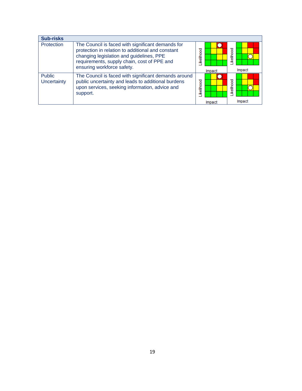| <b>Sub-risks</b>             |                                                                                                                                                                                                                                 |                    |                     |
|------------------------------|---------------------------------------------------------------------------------------------------------------------------------------------------------------------------------------------------------------------------------|--------------------|---------------------|
| Protection                   | The Council is faced with significant demands for<br>protection in relation to additional and constant<br>changing legislation and guidelines, PPE<br>requirements, supply chain, cost of PPE and<br>ensuring workforce safety. | kellhood<br>Impact | ikelihood<br>Impact |
| <b>Public</b><br>Uncertainty | The Council is faced with significant demands around<br>public uncertainty and leads to additional burdens<br>upon services, seeking information, advice and<br>support.                                                        | kellhood<br>Impact | ikelihood<br>Impact |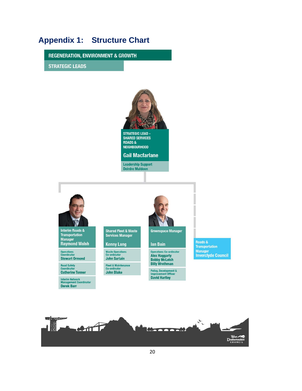# <span id="page-20-0"></span>**Appendix 1: Structure Chart**

**REGENERATION, ENVIRONMENT & GROWTH** 

**STRATEGIC LEADS** 

Road Safety<br>Coordinator

**Catherine Tonner** 

Interim Network<br>Management Coordinator<br>**Derek Barr** 



SHARED SERVICES **ROADS& NEIGHBOURHOOD** 

**Gail Macfarlane** 

**Leadership Support Deirdre Muldoon** 



Fleet & Maintenance<br>Co-ordinator<br>**John Blake** Policy, Development &<br>Improvement Officer<br>David Hartley

**Alex Haggarty<br>Bobby McLeish<br>Billy Wrethman** 

**Transportation** Manager<br>Inverclyde Council

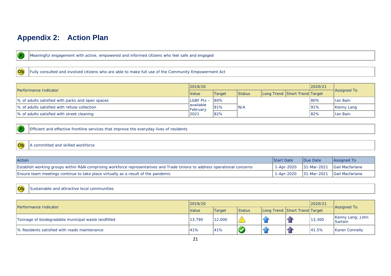# **Appendix 2: Action Plan**

 $\overline{P}$ 

Meaningful engagement with active, empowered and informed citizens who feel safe and engaged

Ob

Fully consulted and involved citizens who are able to make full use of the Community Empowerment Act

|                                                   | 2019/20          |          |               |      |                               | 2020/21 |                    |            |
|---------------------------------------------------|------------------|----------|---------------|------|-------------------------------|---------|--------------------|------------|
| Performance Indicator                             | Value            | Target   | <b>Status</b> |      | Long Trend Short Trend Target |         | <b>Assigned To</b> |            |
| Ⅰ% of adults satisfied with parks and open spaces | lLGBF PIs – 180% |          |               |      |                               | $180\%$ | llan Bain          |            |
| 1% of adults satisfied with refuse collection     | available        | February | 191%          | IN/A |                               |         | 191%               | Kenny Lang |
| Ⅰ% of adults satisfied with street cleaning       | 2021             | $ 82\%$  |               |      |                               | 82%     | llan Bain          |            |

<span id="page-21-1"></span><span id="page-21-0"></span> $\overline{P}$ 

Ob

Efficient and effective frontline services that improve the everyday lives of residents

#### A committed and skilled workforce

| Action                                                                                                                    | <b>Start Date</b> | Due Date | Assigned To                                |
|---------------------------------------------------------------------------------------------------------------------------|-------------------|----------|--------------------------------------------|
| Establish working groups within R&N comprising workforce representatives and Trade Unions to address operational concerns |                   |          | 1-Apr-2020   31-Mar-2021   Gail Macfarlane |
| Ensure team meetings continue to take place virtually as a result of the pandemic                                         |                   |          | 1-Apr-2020   31-Mar-2021   Gail Macfarlane |

#### Ob Sustainable and attractive local communities

| Performance Indicator                               | 2019/20      |        |               |  |                               | 2020/21 |                                    |
|-----------------------------------------------------|--------------|--------|---------------|--|-------------------------------|---------|------------------------------------|
|                                                     | <b>Value</b> | Target | <b>Status</b> |  | Long Trend Short Trend Target |         | <b>Assigned To</b>                 |
| Tonnage of biodegradable municipal waste landfilled | 13,790       | 12,000 |               |  |                               | 13,300  | Kenny Lang; John<br><b>Sartain</b> |
| % Residents satisfied with roads maintenance        | 41%          | 41%    |               |  |                               | 41.5%   | <b>Karen Connelly</b>              |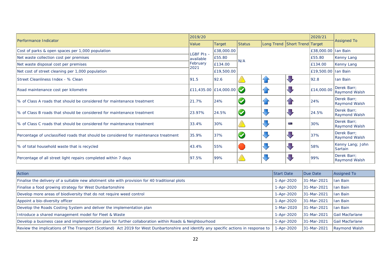| Performance Indicator                                                                |                  | 2019/20                      |                      |                |                               |                     |                                     |  |
|--------------------------------------------------------------------------------------|------------------|------------------------------|----------------------|----------------|-------------------------------|---------------------|-------------------------------------|--|
|                                                                                      | Value            | Target                       | <b>Status</b>        |                | Long Trend Short Trend Target |                     | <b>Assigned To</b>                  |  |
| Cost of parks & open spaces per 1,000 population                                     | $LGBF$ PIs $-$   | £38,000.00                   |                      |                |                               | £38,000.00 Ian Bain |                                     |  |
| Net waste collection cost per premises                                               | lavailable       | £55.80                       | N/A                  |                |                               | £55.80              | Kenny Lang                          |  |
| Net waste disposal cost per premises                                                 | February<br>2021 | E134.00                      |                      |                |                               | £134.00             | Kenny Lang                          |  |
| Net cost of street cleaning per 1,000 population                                     |                  | £19,500.00                   |                      |                |                               | £19,500.00 Ian Bain |                                     |  |
| Street Cleanliness Index - % Clean                                                   | 91.5             | 92.6                         |                      | $\overline{A}$ | J,                            | 92.8                | Ian Bain                            |  |
| Road maintenance cost per kilometre                                                  |                  | £11,435.00 £14,000.00 $\sim$ |                      | $\bigcap$      | J                             | £14,000.00          | Derek Barr;<br><b>Raymond Walsh</b> |  |
| % of Class A roads that should be considered for maintenance treatment               | 21.7%            | 24%                          |                      | $\overline{1}$ |                               | 24%                 | Derek Barr;<br><b>Raymond Walsh</b> |  |
| Ⅰ% of Class B roads that should be considered for maintenance treatment              | 23.97%           | 24.5%                        | $\blacktriangledown$ | J              | J                             | 24.5%               | Derek Barr;<br><b>Raymond Walsh</b> |  |
| Ⅰ% of Class C roads that should be considered for maintenance treatment              | 33.4%            | 30%                          |                      | $\sqrt{2}$     | e.                            | 30%                 | Derek Barr;<br><b>Raymond Walsh</b> |  |
| Percentage of unclassified roads that should be considered for maintenance treatment | 35.9%            | 37%                          |                      | J              | JI                            | 37%                 | Derek Barr;<br><b>Raymond Walsh</b> |  |
| % of total household waste that is recycled                                          | 43.4%            | 55%                          |                      | JI,            | $\sqrt{2}$                    | 58%                 | Kenny Lang; John<br><b>Sartain</b>  |  |
| Percentage of all street light repairs completed within 7 days                       | 97.5%            | 99%                          |                      | ₹              | $\overline{a}$                | 99%                 | Derek Barr;<br>Raymond Walsh        |  |

| <b>Action</b>                                                                                                                         | <b>Start Date</b> | Due Date     | Assigned To            |
|---------------------------------------------------------------------------------------------------------------------------------------|-------------------|--------------|------------------------|
| Finalise the delivery of a suitable new allotment site with provision for 40 traditional plots                                        | 1-Apr-2020        | 31-Mar-2021  | <b>Ian Bain</b>        |
| Finalise a food growing strategy for West Dunbartonshire                                                                              | 1-Apr-2020        | 31-Mar-2021  | <b>Ian Bain</b>        |
| Develop more areas of biodiversity that do not require weed control                                                                   | 1-Apr-2020        | 31-Mar-2021  | llan Bain              |
| Appoint a bio-diversity officer                                                                                                       | 1-Apr-2020        | 31-Mar-2021  | llan Bain              |
| Develop the Roads Costing System and deliver the implementation plan                                                                  | 1-Mar-2020        | l31-Mar-2021 | Han Bain               |
| Introduce a shared management model for Fleet & Waste                                                                                 | 1-Apr-2020        | 31-Mar-2021  | <b>Gail Macfarlane</b> |
| Develop a business case and implementation plan for further collaboration within Roads & Neighbourhood                                | 1-Apr-2020        | 31-Mar-2021  | <b>Gail Macfarlane</b> |
| Review the implications of The Transport (Scotland) Act 2019 for West Dunbartonshire and identify any specific actions in response to | -Apr-2020         | 31-Mar-2021  | Raymond Walsh          |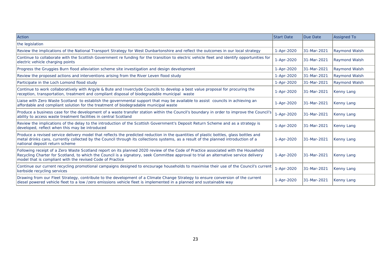| <b>Action</b>                                                                                                                                                                                                                                                                                                                            | <b>Start Date</b> | Due Date    | <b>Assigned To</b>   |
|------------------------------------------------------------------------------------------------------------------------------------------------------------------------------------------------------------------------------------------------------------------------------------------------------------------------------------------|-------------------|-------------|----------------------|
| the legislation                                                                                                                                                                                                                                                                                                                          |                   |             |                      |
| Review the implications of the National Transport Strategy for West Dunbartonshire and reflect the outcomes in our local strategy                                                                                                                                                                                                        | 1-Apr-2020        | 31-Mar-2021 | <b>Raymond Walsh</b> |
| Continue to collaborate with the Scottish Government re funding for the transition to electric vehicle fleet and identify opportunities for<br>electric vehicle charging points                                                                                                                                                          | 1-Apr-2020        | 31-Mar-2021 | <b>Raymond Walsh</b> |
| Progress the Gruggies Burn flood alleviation scheme site investigation and design development                                                                                                                                                                                                                                            | 1-Apr-2020        | 31-Mar-2021 | <b>Raymond Walsh</b> |
| Review the proposed actions and interventions arising from the River Leven flood study                                                                                                                                                                                                                                                   | 1-Apr-2020        | 31-Mar-2021 | <b>Raymond Walsh</b> |
| Participate in the Loch Lomond flood study                                                                                                                                                                                                                                                                                               | 1-Apr-2020        | 31-Mar-2021 | <b>Raymond Walsh</b> |
| Continue to work collaboratively with Argyle & Bute and Inverclyde Councils to develop a best value proposal for procuring the<br>reception, transportation, treatment and compliant disposal of biodegradable municipal waste                                                                                                           | 1-Apr-2020        | 31-Mar-2021 | Kenny Lang           |
| Liaise with Zero Waste Scotland to establish the governmental support that may be available to assist councils in achieving an<br>affordable and compliant solution for the treatment of biodegradable municipal waste                                                                                                                   | 1-Apr-2020        | 31-Mar-2021 | Kenny Lang           |
| Produce a business case for the development of a waste transfer station within the Council's boundary in order to improve the Council's<br>ability to access waste treatment facilities in central Scotland                                                                                                                              | 1-Apr-2020        | 31-Mar-2021 | Kenny Lang           |
| Review the implications of the delay to the introduction of the Scottish Government's Deposit Return Scheme and as a strategy is<br>developed, reflect when this may be introduced                                                                                                                                                       | 1-Apr-2020        | 31-Mar-2021 | Kenny Lang           |
| Produce a revised service delivery model that reflects the predicted reduction in the quantities of plastic bottles, glass bottles and<br>metal drinks cans, currently collected by the Council through its collections systems, as a result of the planned introduction of a<br>national deposit return scheme                          | 1-Apr-2020        | 31-Mar-2021 | Kenny Lang           |
| Following receipt of a Zero Waste Scotland report on its planned 2020 review of the Code of Practice associated with the Household<br>Recycling Charter for Scotland, to which the Council is a signatory, seek Committee approval to trial an alternative service delivery<br>model that is compliant with the revised Code of Practice | 1-Apr-2020        | 31-Mar-2021 | <b>Kenny Lang</b>    |
| Continue our current recycling promotional campaigns designed to encourage households to maximise their use of the Council's current<br>kerbside recycling services                                                                                                                                                                      | 1-Apr-2020        | 31-Mar-2021 | Kenny Lang           |
| Drawing from our Fleet Strategy, contribute to the development of a Climate Change Strategy to ensure conversion of the current<br>diesel powered vehicle fleet to a low /zero emissions vehicle fleet is implemented in a planned and sustainable way                                                                                   | 1-Apr-2020        | 31-Mar-2021 | <b>Kenny Lang</b>    |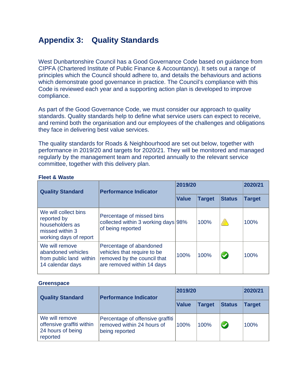# **Appendix 3: Quality Standards**

West Dunbartonshire Council has a Good Governance Code based on guidance from CIPFA (Chartered Institute of Public Finance & Accountancy). It sets out a range of principles which the Council should adhere to, and details the behaviours and actions which demonstrate good governance in practice. The Council's compliance with this Code is reviewed each year and a supporting action plan is developed to improve compliance.

As part of the Good Governance Code, we must consider our approach to quality standards. Quality standards help to define what service users can expect to receive, and remind both the organisation and our employees of the challenges and obligations they face in delivering best value services.

The quality standards for Roads & Neighbourhood are set out below, together with performance in 2019/20 and targets for 2020/21. They will be monitored and managed regularly by the management team and reported annually to the relevant service committee, together with this delivery plan.

| <b>Quality Standard</b>                                                                             | <b>Performance Indicator</b>                                                                                        | 2019/20      | 2020/21       |                      |               |
|-----------------------------------------------------------------------------------------------------|---------------------------------------------------------------------------------------------------------------------|--------------|---------------|----------------------|---------------|
|                                                                                                     |                                                                                                                     | <b>Value</b> | <b>Target</b> | <b>Status</b>        | <b>Target</b> |
| We will collect bins<br>reported by<br>householders as<br>missed within 3<br>working days of report | Percentage of missed bins<br>collected within 3 working days 98%<br>of being reported                               |              | 100%          |                      | 100%          |
| We will remove<br>abandoned vehicles<br>from public land within<br>14 calendar days                 | Percentage of abandoned<br>vehicles that require to be<br>removed by the council that<br>are removed within 14 days | 100%         | 100%          | $\blacktriangledown$ | 100%          |

## **Fleet & Waste**

#### **Greenspace**

| <b>Quality Standard</b>                                                      | <b>Performance Indicator</b>                                                     | 2019/20      | 2020/21       |               |               |
|------------------------------------------------------------------------------|----------------------------------------------------------------------------------|--------------|---------------|---------------|---------------|
|                                                                              |                                                                                  | <b>Value</b> | <b>Target</b> | <b>Status</b> | <b>Target</b> |
| We will remove<br>offensive graffiti within<br>24 hours of being<br>reported | Percentage of offensive graffiti<br>removed within 24 hours of<br>being reported | 100%         | 100%          | $\bullet$     | 100%          |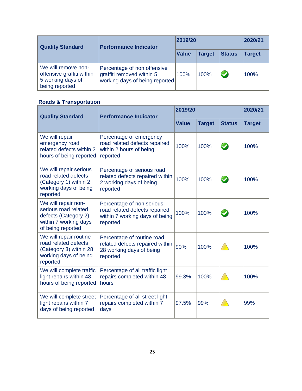| <b>Quality Standard</b>                                                                 | <b>Performance Indicator</b>                                                               | 2019/20      | 2020/21       |               |               |
|-----------------------------------------------------------------------------------------|--------------------------------------------------------------------------------------------|--------------|---------------|---------------|---------------|
|                                                                                         |                                                                                            | <b>Value</b> | <b>Target</b> | <b>Status</b> | <b>Target</b> |
| We will remove non-<br>offensive graffiti within<br>5 working days of<br>being reported | Percentage of non offensive<br>graffiti removed within 5<br>working days of being reported | 100%         | 100%          | $\bullet$     | 100%          |

# **Roads & Transportation**

<span id="page-25-0"></span>

| <b>Quality Standard</b>                                                                                           | <b>Performance Indicator</b>                                                                             | 2019/20      | 2020/21       |                      |               |
|-------------------------------------------------------------------------------------------------------------------|----------------------------------------------------------------------------------------------------------|--------------|---------------|----------------------|---------------|
|                                                                                                                   |                                                                                                          | <b>Value</b> | <b>Target</b> | <b>Status</b>        | <b>Target</b> |
| We will repair<br>emergency road<br>related defects within 2<br>hours of being reported                           | Percentage of emergency<br>road related defects repaired<br>within 2 hours of being<br>reported          | 100%         | 100%          | $\blacktriangledown$ | 100%          |
| We will repair serious<br>road related defects<br>(Category 1) within 2<br>working days of being<br>reported      | Percentage of serious road<br>related defects repaired within<br>2 working days of being<br>reported     | 100%         | 100%          | $\bigcirc$           | 100%          |
| We will repair non-<br>serious road related<br>defects (Category 2)<br>within 7 working days<br>of being reported | Percentage of non serious<br>road related defects repaired<br>within 7 working days of being<br>reported | 100%         | 100%          | $\blacktriangledown$ | 100%          |
| We will repair routine<br>road related defects<br>(Category 3) within 28<br>working days of being<br>reported     | Percentage of routine road<br>related defects repaired within<br>28 working days of being<br>reported    | 90%          | 100%          |                      | 100%          |
| We will complete traffic<br>light repairs within 48<br>hours of being reported                                    | Percentage of all traffic light<br>repairs completed within 48<br>hours                                  | 99.3%        | 100%          |                      | 100%          |
| We will complete street<br>light repairs within 7<br>days of being reported                                       | Percentage of all street light<br>repairs completed within 7<br>days                                     | 97.5%        | 99%           |                      | 99%           |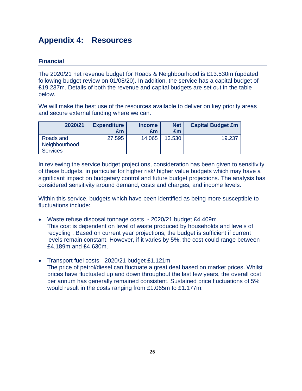# **Appendix 4: Resources**

# **Financial**

The 2020/21 net revenue budget for Roads & Neighbourhood is £13.530m (updated following budget review on 01/08/20). In addition, the service has a capital budget of £19.237m. Details of both the revenue and capital budgets are set out in the table below.

We will make the best use of the resources available to deliver on key priority areas and secure external funding where we can.

| 2020/21                    | <b>Expenditure</b> | <b>Income</b> | <b>Net</b> | <b>Capital Budget £m</b> |
|----------------------------|--------------------|---------------|------------|--------------------------|
|                            | £m                 | £m            | £m         |                          |
| Roads and<br>Neighbourhood | 27.595             | 14.065        | 13.530     | 19.237                   |
| <b>Services</b>            |                    |               |            |                          |

<span id="page-26-0"></span>In reviewing the service budget projections, consideration has been given to sensitivity of these budgets, in particular for higher risk/ higher value budgets which may have a significant impact on budgetary control and future budget projections. The analysis has considered sensitivity around demand, costs and charges, and income levels.

Within this service, budgets which have been identified as being more susceptible to fluctuations include:

- Waste refuse disposal tonnage costs 2020/21 budget £4.409m This cost is dependent on level of waste produced by households and levels of recycling . Based on current year projections, the budget is sufficient if current levels remain constant. However, if it varies by 5%, the cost could range between £4.189m and £4.630m.
- Transport fuel costs 2020/21 budget £1.121m The price of petrol/diesel can fluctuate a great deal based on market prices. Whilst prices have fluctuated up and down throughout the last few years, the overall cost per annum has generally remained consistent. Sustained price fluctuations of 5% would result in the costs ranging from £1.065m to £1.177m.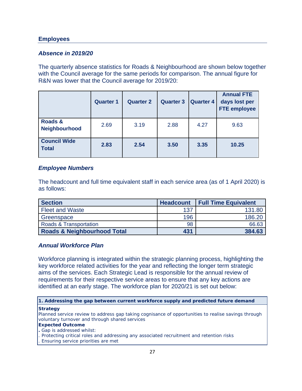## **Employees**

## *Absence in 2019/20*

The quarterly absence statistics for Roads & Neighbourhood are shown below together with the Council average for the same periods for comparison. The annual figure for R&N was lower that the Council average for 2019/20:

|                                     | <b>Quarter 1</b> | <b>Quarter 2</b> | <b>Quarter 3</b> | <b>Quarter 4</b> | <b>Annual FTE</b><br>days lost per<br><b>FTE employee</b> |
|-------------------------------------|------------------|------------------|------------------|------------------|-----------------------------------------------------------|
| Roads &<br>Neighbourhood            | 2.69             | 3.19             | 2.88             | 4.27             | 9.63                                                      |
| <b>Council Wide</b><br><b>Total</b> | 2.83             | 2.54             | 3.50             | 3.35             | 10.25                                                     |

## *Employee Numbers*

The headcount and full time equivalent staff in each service area (as of 1 April 2020) is as follows:

| <b>Section</b>                         | <b>Headcount</b> | <b>Full Time Equivalent</b> |
|----------------------------------------|------------------|-----------------------------|
| <b>Fleet and Waste</b>                 | 137              | 131.80                      |
| Greenspace                             | 196              | 186.20                      |
| Roads & Transportation                 | 98               | 66.63                       |
| <b>Roads &amp; Neighbourhood Total</b> | 431              | 384.63                      |

## *Annual Workforce Plan*

Workforce planning is integrated within the strategic planning process, highlighting the key workforce related activities for the year and reflecting the longer term strategic aims of the services. Each Strategic Lead is responsible for the annual review of requirements for their respective service areas to ensure that any key actions are identified at an early stage. The workforce plan for 2020/21 is set out below:

**1. Addressing the gap between current workforce supply and predicted future demand**

#### **Strategy**

Planned service review to address gap taking cognisance of opportunities to realise savings through voluntary turnover and through shared services

#### **Expected Outcome**

- **.** Gap is addressed whilst:
- . Protecting critical roles and addressing any associated recruitment and retention risks
- . Ensuring service priorities are met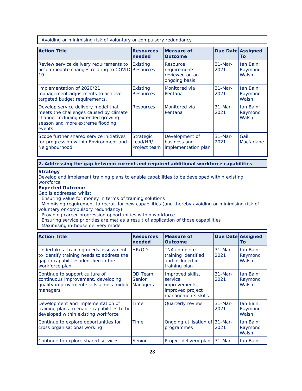. Avoiding or minimising risk of voluntary or compulsory redundancy

| <b>Action Title</b>                                                                                                                                                | <b>Resources</b><br>needed                   | Measure of<br><b>Outcome</b>                                 | <b>Due Date Assigned</b> | Τo                            |
|--------------------------------------------------------------------------------------------------------------------------------------------------------------------|----------------------------------------------|--------------------------------------------------------------|--------------------------|-------------------------------|
| Review service delivery requirements to<br>accommodate changes relating to COVID Resources<br>19                                                                   | Existing                                     | Resource<br>requirements<br>reviewed on an<br>ongoing basis. | $31-Mar-$<br>2021        | lan Bain;<br>Raymond<br>Walsh |
| Implementation of 2020/21<br>management adjustments to achieve<br>targeted budget requirements.                                                                    | <b>Existing</b><br><b>Resources</b>          | Monitored via<br>lPentana                                    | $31-Mar-$<br>2021        | lan Bain:<br>Raymond<br>Walsh |
| Develop service delivery model that<br>meets the challenges caused by climate<br>change, including extended growing<br>season and more extreme flooding<br>events. | <b>Resources</b>                             | Monitored via<br>Pentana                                     | $31-Mar-$<br>2021        | lan Bain;<br>Raymond<br>Walsh |
| Scope further shared service initiatives<br>for progression within Environment and<br>Neighbourhood                                                                | <b>Strategic</b><br>Lead/HR/<br>Project team | Development of<br>business and<br>implementation plan        | $31-Mar-$<br>2021        | Gail<br>Macfarlane            |

#### **2. Addressing the gap between current and required additional workforce capabilities**

#### **Strategy**

Develop and implement training plans to enable capabilities to be developed within existing workforce

#### **Expected Outcome**

Gap is addressed whilst:

. Ensuring value for money in terms of training solutions

. Minimising requirement to recruit for new capabilities (and thereby avoiding or minimising risk of voluntary or compulsory redundancy)

- . Providing career progression opportunities within workforce
- . Ensuring service priorities are met as a result of application of those capabilities
- . Maximising in-house delivery model

| <b>Action Title</b>                                                                                                                           | <b>Resources</b><br>needed           | <b>IMeasure of</b><br><b>Outcome</b>                                                   | <b>Due Date Assigned</b>  | To                            |
|-----------------------------------------------------------------------------------------------------------------------------------------------|--------------------------------------|----------------------------------------------------------------------------------------|---------------------------|-------------------------------|
| Undertake a training needs assessment<br>to identify training needs to address the<br>gap in capabilities identified in the<br>workforce plan | HR/OD                                | <b>TNA</b> complete<br>training identified<br>and included in<br>training plan         | $31 - \text{Mar}$<br>2021 | lan Bain;<br>Raymond<br>Walsh |
| Continue to support culture of<br>continuous improvement, developing<br>quality improvement skills across middle<br>managers                  | OD Team<br><b>Senior</b><br>Managers | Improved skills,<br>service<br>improvements,<br>improved project<br>managements skills | $31-Mar-$<br>2021         | lan Bain;<br>Raymond<br>Walsh |
| Development and implementation of<br>training plans to enable capabilities to be<br>developed within existing workforce                       | <b>Time</b>                          | Quarterly review                                                                       | $31-Mar-$<br>2021         | lan Bain;<br>Raymond<br>Walsh |
| Continue to explore opportunities for<br>cross organisational working                                                                         | <b>Time</b>                          | Ongoing utilisation of 31-Mar-<br>programmes                                           | 2021                      | lan Bain:<br>Raymond<br>Walsh |
| Continue to explore shared services                                                                                                           | Senior                               | Project delivery plan                                                                  | $31$ -Mar-                | lan Bain;                     |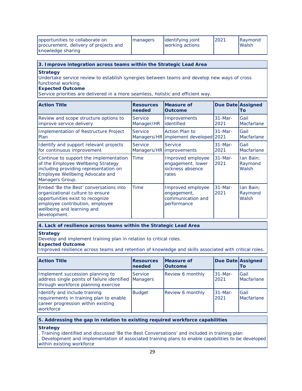| opportunities to collaborate on<br>procurement, delivery of projects and<br>knowledge sharing | <b>Imanagers</b> | identifying joint<br>working actions | 2021 | Raymond<br><b>Walsh</b> |
|-----------------------------------------------------------------------------------------------|------------------|--------------------------------------|------|-------------------------|
|-----------------------------------------------------------------------------------------------|------------------|--------------------------------------|------|-------------------------|

#### **3. Improve integration across teams within the Strategic Lead Area**

**Strategy** 

Undertake service review to establish synergies between teams and develop new ways of cross functional working.

#### **Expected Outcome**

Service priorities are delivered in a more seamless, holistic and efficient way.

| <b>Action Title</b>                                                                                                                                                                             | <b>Resources</b><br>needed   | Measure of<br><b>Outcome</b>                                                | Due Date Assigned         | Τo                            |
|-------------------------------------------------------------------------------------------------------------------------------------------------------------------------------------------------|------------------------------|-----------------------------------------------------------------------------|---------------------------|-------------------------------|
| Review and scope structure options to<br>improve service delivery                                                                                                                               | <b>Service</b><br>Manager/HR | Improvements<br>identified                                                  | $31 - \text{Mar}$<br>2021 | Gail<br>Macfarlane            |
| Implementation of Restructure Project<br>Plan                                                                                                                                                   | Service                      | Action Plan to<br>$31 - \text{Mar}$<br>Managers/HR implement developed 2021 |                           | Gail<br>Macfarlane            |
| Identify and support relevant projects<br>for continuous improvement                                                                                                                            | Service                      | Service<br>Managers/HR improvements                                         | $31 - \text{Mar}$<br>2021 | Gail<br>Macfarlane            |
| Continue to support the implementation<br>of the Employee Wellbeing Strategy<br>including providing representation on<br>Employee Wellbeing Advocate and<br>Managers Group.                     | <b>Time</b>                  | Improved employee<br>engagement, lower<br>sickness absence<br>rates         | $31$ -Mar-<br>2021        | lan Bain;<br>Raymond<br>Walsh |
| Embed 'Be the Best' conversations into<br>organizational culture to ensure<br>opportunities exist to recognize<br>employee contribution, employee<br>wellbeing and learning and<br>development. | Time                         | Improved employee<br>engagement,<br>communication and<br>performance        | $31 - \text{Mar}$<br>2021 | lan Bain;<br>Raymond<br>Walsh |

#### **4. Lack of resilience across teams within the Strategic Lead Area**

#### **Strategy**

Develop and implement training plan in relation to critical roles.

#### **Expected Outcome**

Improved resilience across teams and retention of knowledge and skills associated with critical roles.

| <b>Action Title</b>                                                                                                         | <b>Resources</b><br>needed        | <b>IMeasure of</b><br><b>Outcome</b> | <b>Due Date Assigned</b> | lTo                       |
|-----------------------------------------------------------------------------------------------------------------------------|-----------------------------------|--------------------------------------|--------------------------|---------------------------|
| Implement succession planning to<br>address single points of failure identified<br>through workforce planning exercise      | <b>Service</b><br><b>Managers</b> | Review 6 monthly                     | $31$ -Mar-<br>2021       | <b>Gail</b><br>Macfarlane |
| Identify and include training<br>requirements in training plan to enable<br>career progression within existing<br>workforce | <b>Budget</b>                     | Review 6 monthly                     | $31$ -Mar-<br>2021       | <b>Gail</b><br>Macfarlane |

#### **5. Addressing the gap in relation to existing required workforce capabilities**

#### **Strategy**

. Training identified and discussed 'Be the Best Conversations' and included in training plan

. Development and implementation of associated training plans to enable capabilities to be developed within existing workforce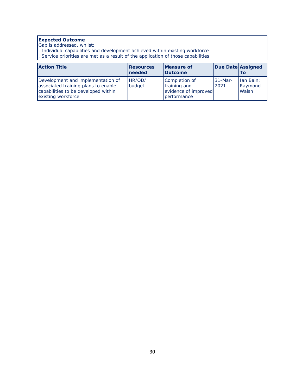#### **Expected Outcome**

Gap is addressed, whilst:

. Individual capabilities and development achieved within existing workforce

. Service priorities are met as a result of the application of those capabilities

| <b>Action Title</b>                                                                                                                   | <b>Resources</b><br>Ineeded | <b>IMeasure of</b><br><b>Outcome</b>                                 | Due Date Assigned  | Τo                                   |
|---------------------------------------------------------------------------------------------------------------------------------------|-----------------------------|----------------------------------------------------------------------|--------------------|--------------------------------------|
| Development and implementation of<br>associated training plans to enable<br>capabilities to be developed within<br>existing workforce | HR/OD/<br>budget            | Completion of<br>training and<br>evidence of improved<br>performance | $31$ -Mar-<br>2021 | Ian Bain;<br>Raymond<br><b>Walsh</b> |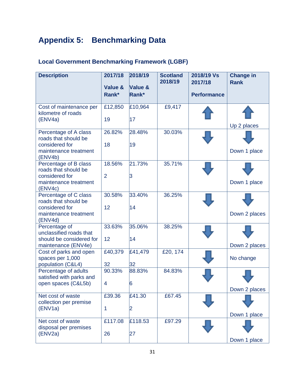# **Appendix 5: Benchmarking Data**

# **Local Government Benchmarking Framework (LGBF)**

| <b>Description</b>                                                      | 2017/18<br>Value &<br>Rank* | 2018/19<br>Value &<br>Rank* | <b>Scotland</b><br>2018/19 | 2018/19 Vs<br>2017/18<br><b>Performance</b> | <b>Change in</b><br><b>Rank</b> |
|-------------------------------------------------------------------------|-----------------------------|-----------------------------|----------------------------|---------------------------------------------|---------------------------------|
|                                                                         |                             |                             |                            |                                             |                                 |
| Cost of maintenance per<br>kilometre of roads                           | £12,850                     | £10,964                     | £9,417                     |                                             |                                 |
| (ENV4a)                                                                 | 19                          | 17                          |                            |                                             | Up 2 places                     |
| Percentage of A class<br>roads that should be                           | 26.82%                      | 28.48%                      | 30.03%                     |                                             |                                 |
| considered for<br>maintenance treatment<br>(ENV4b)                      | 18                          | 19                          |                            |                                             | Down 1 place                    |
| Percentage of B class<br>roads that should be                           | 18.56%                      | 21.73%                      | 35.71%                     |                                             |                                 |
| considered for<br>maintenance treatment<br>(ENV4c)                      | $\overline{2}$              | 3                           |                            |                                             | Down 1 place                    |
| Percentage of C class<br>roads that should be                           | 30.58%                      | 33.40%                      | 36.25%                     |                                             |                                 |
| considered for<br>maintenance treatment<br>(ENV4d)                      | 12                          | 14                          |                            |                                             | Down 2 places                   |
| Percentage of<br>unclassified roads that                                | 33.63%                      | 35.06%                      | 38.25%                     |                                             |                                 |
| should be considered for<br>maintenance (ENV4e)                         | 12                          | 14                          |                            |                                             | Down 2 places                   |
| Cost of parks and open<br>spaces per 1,000                              | £40,379                     | £41,479                     | £20, 174                   |                                             | No change                       |
| population (C&L4)                                                       | 32                          | 32                          |                            |                                             |                                 |
| Percentage of adults<br>satisfied with parks and<br>open spaces (C&L5b) | 90.33%<br>4                 | 88.83%<br>6                 | 84.83%                     |                                             |                                 |
|                                                                         |                             |                             |                            |                                             | Down 2 places                   |
| Net cost of waste<br>collection per premise                             | £39.36                      | £41.30                      | £67.45                     |                                             |                                 |
| (ENV1a)                                                                 | 1                           | 2                           |                            |                                             | Down 1 place                    |
| Net cost of waste<br>disposal per premises                              | £117.08                     | £118.53                     | £97.29                     |                                             |                                 |
| (ENV2a)                                                                 | 26                          | 27                          |                            |                                             | Down 1 place                    |